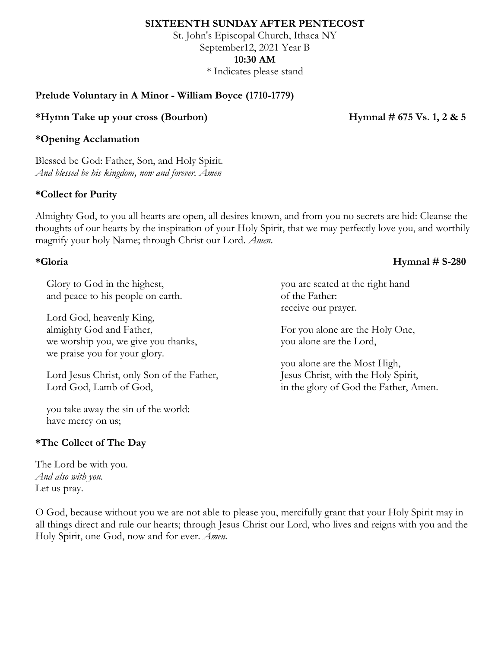### **SIXTEENTH SUNDAY AFTER PENTECOST**

St. John's Episcopal Church, Ithaca NY September12, 2021 Year B **10:30 AM** \* Indicates please stand

### **Prelude Voluntary in A Minor - William Boyce (1710-1779)**

#### **\*Hymn Take up your cross (Bourbon) Hymnal # 675 Vs. 1, 2 & 5**

### **\*Opening Acclamation**

Blessed be God: Father, Son, and Holy Spirit. *And blessed be his kingdom, now and forever. Amen*

### **\*Collect for Purity**

Almighty God, to you all hearts are open, all desires known, and from you no secrets are hid: Cleanse the thoughts of our hearts by the inspiration of your Holy Spirit, that we may perfectly love you, and worthily magnify your holy Name; through Christ our Lord. *Amen*.

### **\*Gloria Hymnal # S-280**

#### Glory to God in the highest, and peace to his people on earth. Lord God, heavenly King, almighty God and Father, we worship you, we give you thanks, we praise you for your glory. Lord Jesus Christ, only Son of the Father, Lord God, Lamb of God, you are seated at the right hand of the Father: receive our prayer. For you alone are the Holy One, you alone are the Lord, you alone are the Most High, Jesus Christ, with the Holy Spirit, in the glory of God the Father, Amen.

you take away the sin of the world: have mercy on us;

# **\*The Collect of The Day**

The Lord be with you. *And also with you.* Let us pray.

O God, because without you we are not able to please you, mercifully grant that your Holy Spirit may in all things direct and rule our hearts; through Jesus Christ our Lord, who lives and reigns with you and the Holy Spirit, one God, now and for ever. *Amen.*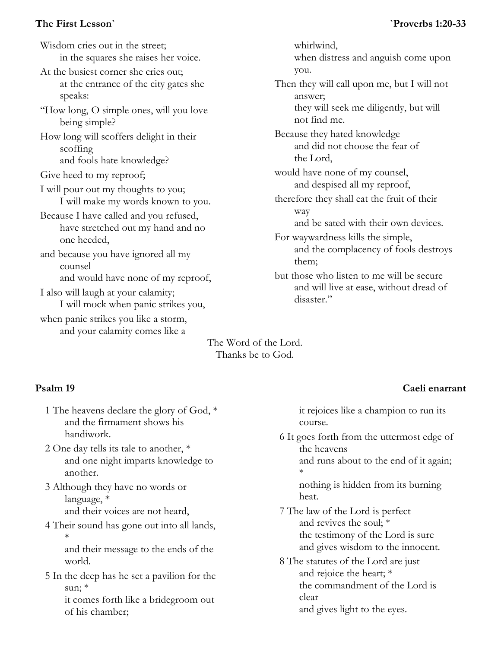### **The First Lesson` `Proverbs 1:20-33**

Wisdom cries out in the street; in the squares she raises her voice. At the busiest corner she cries out; at the entrance of the city gates she speaks: "How long, O simple ones, will you love being simple? How long will scoffers delight in their scoffing and fools hate knowledge? Give heed to my reproof; I will pour out my thoughts to you; I will make my words known to you. Because I have called and you refused, have stretched out my hand and no one heeded, and because you have ignored all my counsel and would have none of my reproof, I also will laugh at your calamity; I will mock when panic strikes you, when panic strikes you like a storm, and your calamity comes like a

whirlwind, when distress and anguish come upon you. Then they will call upon me, but I will not answer; they will seek me diligently, but will not find me. Because they hated knowledge and did not choose the fear of the Lord, would have none of my counsel, and despised all my reproof, therefore they shall eat the fruit of their way and be sated with their own devices. For waywardness kills the simple, and the complacency of fools destroys them; but those who listen to me will be secure

and will live at ease, without dread of disaster."

The Word of the Lord. Thanks be to God.

- 1 The heavens declare the glory of God, \* and the firmament shows his handiwork.
- 2 One day tells its tale to another, \* and one night imparts knowledge to another.
- 3 Although they have no words or language, \* and their voices are not heard,
- 4 Their sound has gone out into all lands, \*

and their message to the ends of the world.

5 In the deep has he set a pavilion for the sun; \*

it comes forth like a bridegroom out of his chamber;

it rejoices like a champion to run its course.

6 It goes forth from the uttermost edge of the heavens and runs about to the end of it again;

> \* nothing is hidden from its burning heat.

- 7 The law of the Lord is perfect and revives the soul; \* the testimony of the Lord is sure and gives wisdom to the innocent.
- 8 The statutes of the Lord are just and rejoice the heart; \* the commandment of the Lord is clear and gives light to the eyes.

#### **Psalm 19 Caeli enarrant**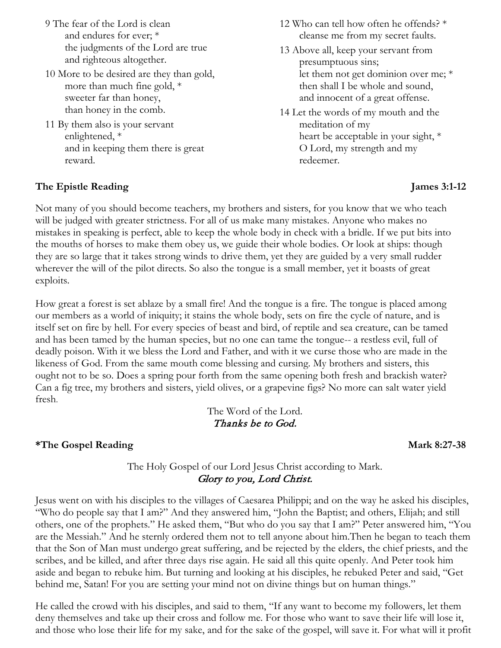- 9 The fear of the Lord is clean and endures for ever; \* the judgments of the Lord are true and righteous altogether.
- 10 More to be desired are they than gold, more than much fine gold, \* sweeter far than honey, than honey in the comb.
- 11 By them also is your servant enlightened, \* and in keeping them there is great reward.

## **The Epistle Reading James 3:1-12**

12 Who can tell how often he offends? \* cleanse me from my secret faults.

13 Above all, keep your servant from presumptuous sins; let them not get dominion over me; \* then shall I be whole and sound, and innocent of a great offense.

14 Let the words of my mouth and the meditation of my heart be acceptable in your sight, \* O Lord, my strength and my redeemer.

Not many of you should become teachers, my brothers and sisters, for you know that we who teach will be judged with greater strictness. For all of us make many mistakes. Anyone who makes no mistakes in speaking is perfect, able to keep the whole body in check with a bridle. If we put bits into the mouths of horses to make them obey us, we guide their whole bodies. Or look at ships: though they are so large that it takes strong winds to drive them, yet they are guided by a very small rudder wherever the will of the pilot directs. So also the tongue is a small member, yet it boasts of great exploits.

How great a forest is set ablaze by a small fire! And the tongue is a fire. The tongue is placed among our members as a world of iniquity; it stains the whole body, sets on fire the cycle of nature, and is itself set on fire by hell. For every species of beast and bird, of reptile and sea creature, can be tamed and has been tamed by the human species, but no one can tame the tongue-- a restless evil, full of deadly poison. With it we bless the Lord and Father, and with it we curse those who are made in the likeness of God. From the same mouth come blessing and cursing. My brothers and sisters, this ought not to be so. Does a spring pour forth from the same opening both fresh and brackish water? Can a fig tree, my brothers and sisters, yield olives, or a grapevine figs? No more can salt water yield fresh.

> The Word of the Lord. Thanks be to God.

### **\*The Gospel Reading Mark 8:27-38**

## The Holy Gospel of our Lord Jesus Christ according to Mark. Glory to you, Lord Christ.

Jesus went on with his disciples to the villages of Caesarea Philippi; and on the way he asked his disciples, "Who do people say that I am?" And they answered him, "John the Baptist; and others, Elijah; and still others, one of the prophets." He asked them, "But who do you say that I am?" Peter answered him, "You are the Messiah." And he sternly ordered them not to tell anyone about him.Then he began to teach them that the Son of Man must undergo great suffering, and be rejected by the elders, the chief priests, and the scribes, and be killed, and after three days rise again. He said all this quite openly. And Peter took him aside and began to rebuke him. But turning and looking at his disciples, he rebuked Peter and said, "Get behind me, Satan! For you are setting your mind not on divine things but on human things."

He called the crowd with his disciples, and said to them, "If any want to become my followers, let them deny themselves and take up their cross and follow me. For those who want to save their life will lose it, and those who lose their life for my sake, and for the sake of the gospel, will save it. For what will it profit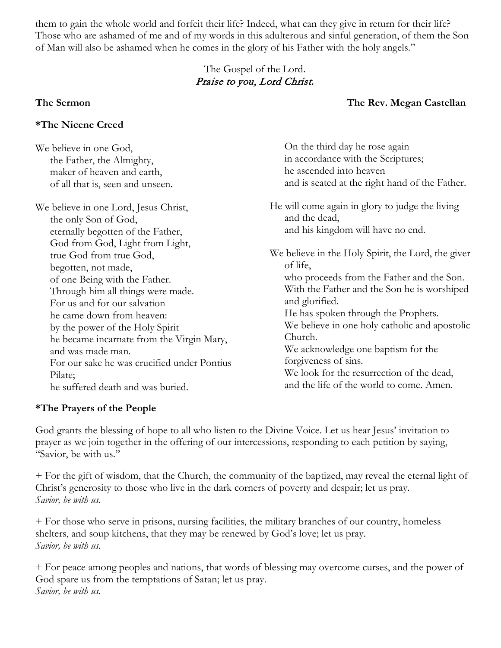them to gain the whole world and forfeit their life? Indeed, what can they give in return for their life? Those who are ashamed of me and of my words in this adulterous and sinful generation, of them the Son of Man will also be ashamed when he comes in the glory of his Father with the holy angels."

# The Gospel of the Lord. Praise to you, Lord Christ.

**\*The Nicene Creed**

# **The Sermon The Rev. Megan Castellan**

| We believe in one God,                                                                                                                | On the third day he rose again                                                                        |
|---------------------------------------------------------------------------------------------------------------------------------------|-------------------------------------------------------------------------------------------------------|
| the Father, the Almighty,                                                                                                             | in accordance with the Scriptures;                                                                    |
| maker of heaven and earth,                                                                                                            | he ascended into heaven                                                                               |
| of all that is, seen and unseen.                                                                                                      | and is seated at the right hand of the Father.                                                        |
| We believe in one Lord, Jesus Christ,<br>the only Son of God,<br>eternally begotten of the Father,<br>God from God, Light from Light, | He will come again in glory to judge the living<br>and the dead,<br>and his kingdom will have no end. |
| true God from true God,                                                                                                               | We believe in the Holy Spirit, the Lord, the giver                                                    |
| begotten, not made,                                                                                                                   | of life,                                                                                              |
| of one Being with the Father.                                                                                                         | who proceeds from the Father and the Son.                                                             |
| Through him all things were made.                                                                                                     | With the Father and the Son he is worshiped                                                           |
| For us and for our salvation                                                                                                          | and glorified.                                                                                        |
| he came down from heaven:                                                                                                             | He has spoken through the Prophets.                                                                   |
| by the power of the Holy Spirit                                                                                                       | We believe in one holy catholic and apostolic                                                         |
| he became incarnate from the Virgin Mary,                                                                                             | Church.                                                                                               |
| and was made man.                                                                                                                     | We acknowledge one baptism for the                                                                    |
| For our sake he was crucified under Pontius                                                                                           | forgiveness of sins.                                                                                  |
| Pilate;                                                                                                                               | We look for the resurrection of the dead,                                                             |
| he suffered death and was buried.                                                                                                     | and the life of the world to come. Amen.                                                              |

# **\*The Prayers of the People**

God grants the blessing of hope to all who listen to the Divine Voice. Let us hear Jesus' invitation to prayer as we join together in the offering of our intercessions, responding to each petition by saying, "Savior, be with us."

+ For the gift of wisdom, that the Church, the community of the baptized, may reveal the eternal light of Christ's generosity to those who live in the dark corners of poverty and despair; let us pray. *Savior, be with us.*

+ For those who serve in prisons, nursing facilities, the military branches of our country, homeless shelters, and soup kitchens, that they may be renewed by God's love; let us pray. *Savior, be with us.*

+ For peace among peoples and nations, that words of blessing may overcome curses, and the power of God spare us from the temptations of Satan; let us pray. *Savior, be with us.*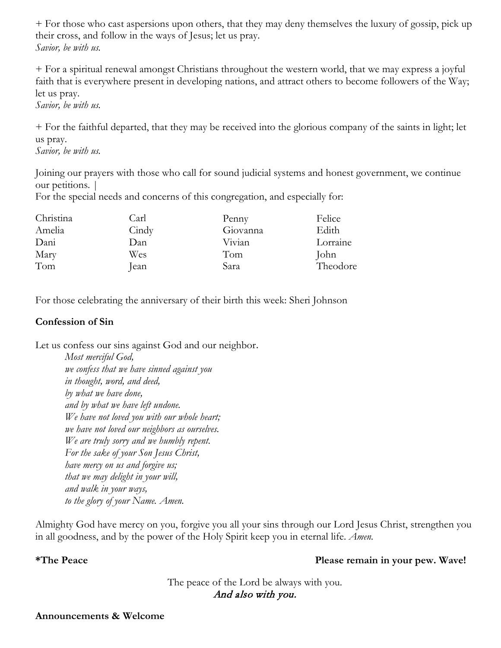+ For those who cast aspersions upon others, that they may deny themselves the luxury of gossip, pick up their cross, and follow in the ways of Jesus; let us pray. *Savior, be with us.*

+ For a spiritual renewal amongst Christians throughout the western world, that we may express a joyful faith that is everywhere present in developing nations, and attract others to become followers of the Way; let us pray.

*Savior, be with us.*

+ For the faithful departed, that they may be received into the glorious company of the saints in light; let us pray.

*Savior, be with us.*

Joining our prayers with those who call for sound judicial systems and honest government, we continue our petitions. |

For the special needs and concerns of this congregation, and especially for:

| Christina | Carl  | Penny    | Felice   |
|-----------|-------|----------|----------|
| Amelia    | Cindy | Giovanna | Edith    |
| Dani      | Dan   | Vivian   | Lorraine |
| Mary      | Wes   | Tom      | John     |
| Tom       | Jean  | Sara     | Theodore |

For those celebrating the anniversary of their birth this week: Sheri Johnson

# **Confession of Sin**

Let us confess our sins against God and our neighbor.

*Most merciful God, we confess that we have sinned against you in thought, word, and deed, by what we have done, and by what we have left undone. We have not loved you with our whole heart; we have not loved our neighbors as ourselves. We are truly sorry and we humbly repent. For the sake of your Son Jesus Christ, have mercy on us and forgive us; that we may delight in your will, and walk in your ways, to the glory of your Name. Amen.*

Almighty God have mercy on you, forgive you all your sins through our Lord Jesus Christ, strengthen you in all goodness, and by the power of the Holy Spirit keep you in eternal life. *Amen.*

# **\*The Peace Please remain in your pew. Wave!**

The peace of the Lord be always with you. And also with you.

### **Announcements & Welcome**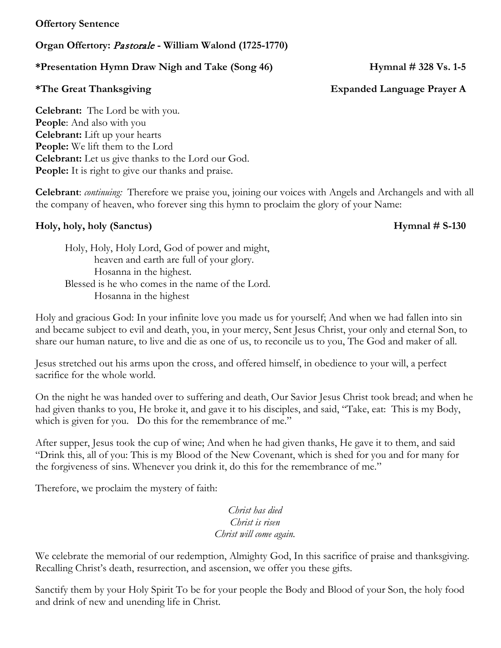# **Organ Offertory:** Pastorale **- William Walond (1725-1770)**

# **\*Presentation Hymn Draw Nigh and Take (Song 46) Hymnal # 328 Vs. 1-5**

# **\*The Great Thanksgiving Expanded Language Prayer A**

**Celebrant:** The Lord be with you. **People**: And also with you **Celebrant:** Lift up your hearts **People:** We lift them to the Lord **Celebrant:** Let us give thanks to the Lord our God. **People:** It is right to give our thanks and praise.

**Celebrant**: *continuing:* Therefore we praise you, joining our voices with Angels and Archangels and with all the company of heaven, who forever sing this hymn to proclaim the glory of your Name:

# **Holy, holy, holy (Sanctus) Hymnal # S-130**

Holy, Holy, Holy Lord, God of power and might, heaven and earth are full of your glory. Hosanna in the highest. Blessed is he who comes in the name of the Lord. Hosanna in the highest

Holy and gracious God: In your infinite love you made us for yourself; And when we had fallen into sin and became subject to evil and death, you, in your mercy, Sent Jesus Christ, your only and eternal Son, to share our human nature, to live and die as one of us, to reconcile us to you, The God and maker of all.

Jesus stretched out his arms upon the cross, and offered himself, in obedience to your will, a perfect sacrifice for the whole world.

On the night he was handed over to suffering and death, Our Savior Jesus Christ took bread; and when he had given thanks to you, He broke it, and gave it to his disciples, and said, "Take, eat: This is my Body, which is given for you. Do this for the remembrance of me."

After supper, Jesus took the cup of wine; And when he had given thanks, He gave it to them, and said "Drink this, all of you: This is my Blood of the New Covenant, which is shed for you and for many for the forgiveness of sins. Whenever you drink it, do this for the remembrance of me."

Therefore, we proclaim the mystery of faith:

# *Christ has died Christ is risen Christ will come again.*

We celebrate the memorial of our redemption, Almighty God, In this sacrifice of praise and thanksgiving. Recalling Christ's death, resurrection, and ascension, we offer you these gifts.

Sanctify them by your Holy Spirit To be for your people the Body and Blood of your Son, the holy food and drink of new and unending life in Christ.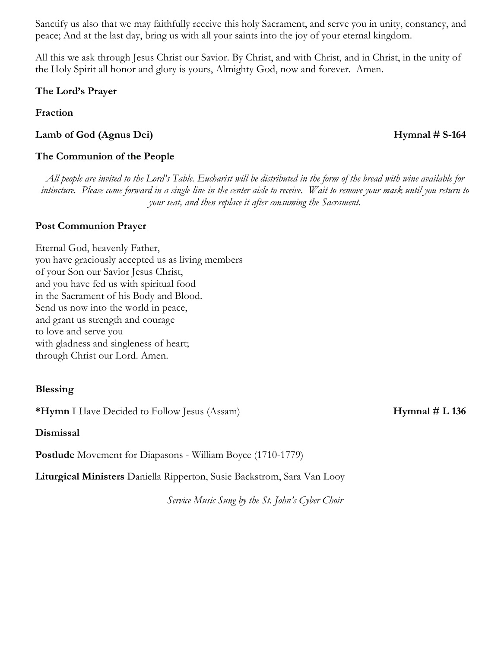Sanctify us also that we may faithfully receive this holy Sacrament, and serve you in unity, constancy, and peace; And at the last day, bring us with all your saints into the joy of your eternal kingdom.

All this we ask through Jesus Christ our Savior. By Christ, and with Christ, and in Christ, in the unity of the Holy Spirit all honor and glory is yours, Almighty God, now and forever. Amen.

# **The Lord's Prayer**

**Fraction**

# **Lamb of God (Agnus Dei) Hymnal # S-164**

# **The Communion of the People**

*All people are invited to the Lord's Table. Eucharist will be distributed in the form of the bread with wine available for intincture. Please come forward in a single line in the center aisle to receive. Wait to remove your mask until you return to your seat, and then replace it after consuming the Sacrament.* 

### **Post Communion Prayer**

Eternal God, heavenly Father, you have graciously accepted us as living members of your Son our Savior Jesus Christ, and you have fed us with spiritual food in the Sacrament of his Body and Blood. Send us now into the world in peace, and grant us strength and courage to love and serve you with gladness and singleness of heart; through Christ our Lord. Amen.

### **Blessing**

\*Hymn I Have Decided to Follow Jesus (Assam) **Hymnal # L 136** 

**Dismissal**

**Postlude** Movement for Diapasons - William Boyce (1710-1779)

**Liturgical Ministers** Daniella Ripperton, Susie Backstrom, Sara Van Looy

*Service Music Sung by the St. John's Cyber Choir*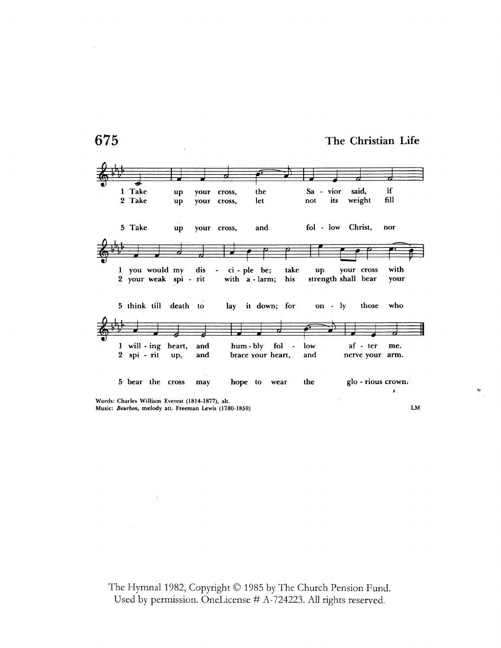

Music: Bourbon, melody att. Freeman Lewis (1780-1859)

 ${\bf L} {\bf M}$ 

 $\hat{\mathbf{e}}_0$ 

The Hymnal 1982, Copyright © 1985 by The Church Pension Fund. Used by permission. OneLicense # A-724223. All rights reserved.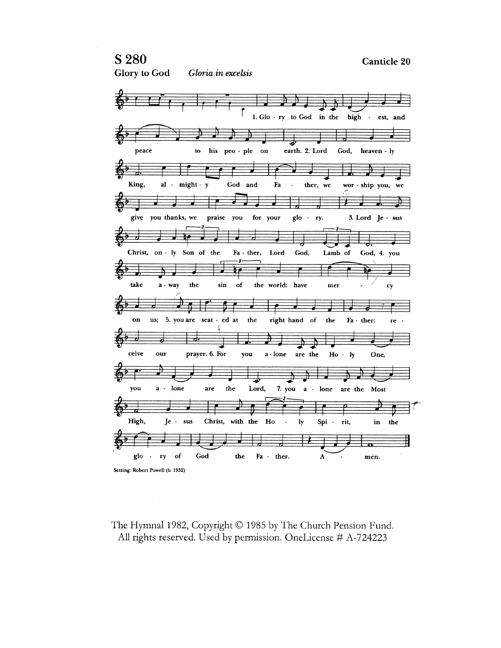

**Glory** to God Gloria in excelsis



The Hymnal 1982, Copyright © 1985 by The Church Pension Fund. All rights reserved. Used by permission. OneLicense # A-724223

 $\bar{z}$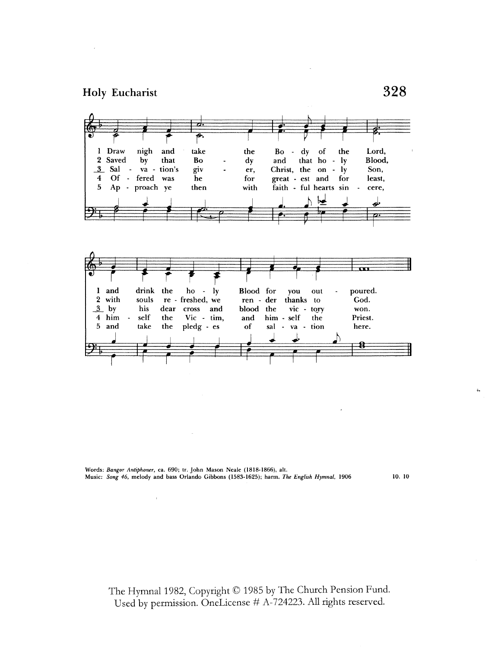

Words: Bangor Antiphoner, ca. 690; tr. John Mason Neale (1818-1866), alt. Music: Song 46, melody and bass Orlando Gibbons (1583-1625); harm. The English Hymnal, 1906

The Hymnal 1982, Copyright © 1985 by The Church Pension Fund. Used by permission. OneLicense # A-724223. All rights reserved.

10.10

ê.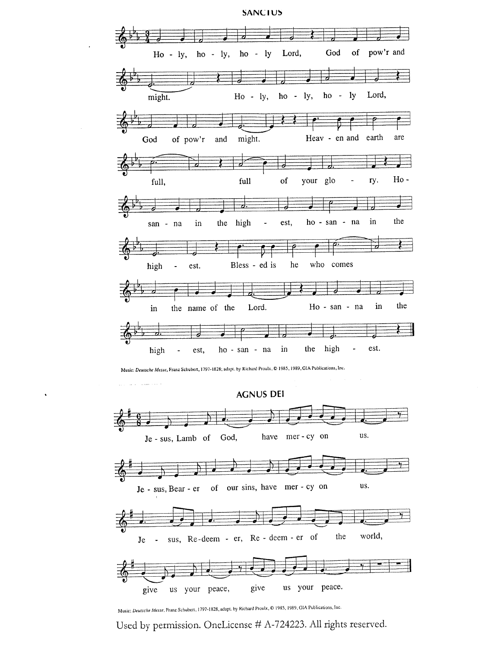#### **SANCIUS**



Music: Deutsche Messe, Franz Schubert, 1797-1828; adapt. by Richard Proulx, © 1985, 1989, GIA Publications, Inc.

 $\bullet$ 



Music: Deutsche Messe, Franz Schubert, 1797-1828, adapt. by Richard Proulx, © 1985, 1989, GIA Publications, Inc.

Used by permission. OneLicense # A-724223. All rights reserved.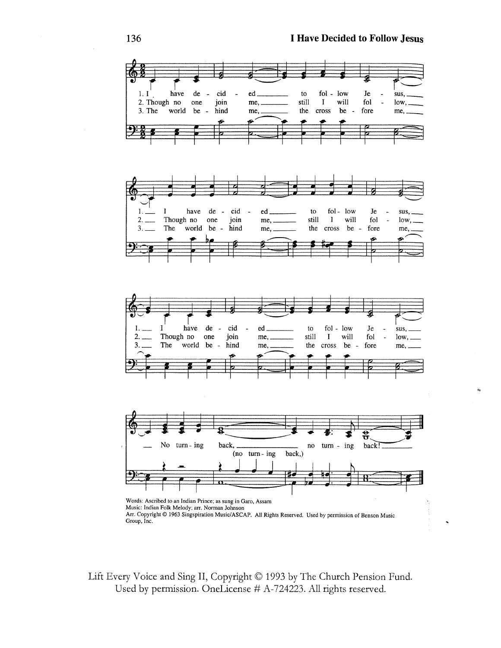$\hat{\mathbf{e}}_0$ 



Lift Every Voice and Sing II, Copyright © 1993 by The Church Pension Fund. Used by permission. OneLicense # A-724223. All rights reserved.